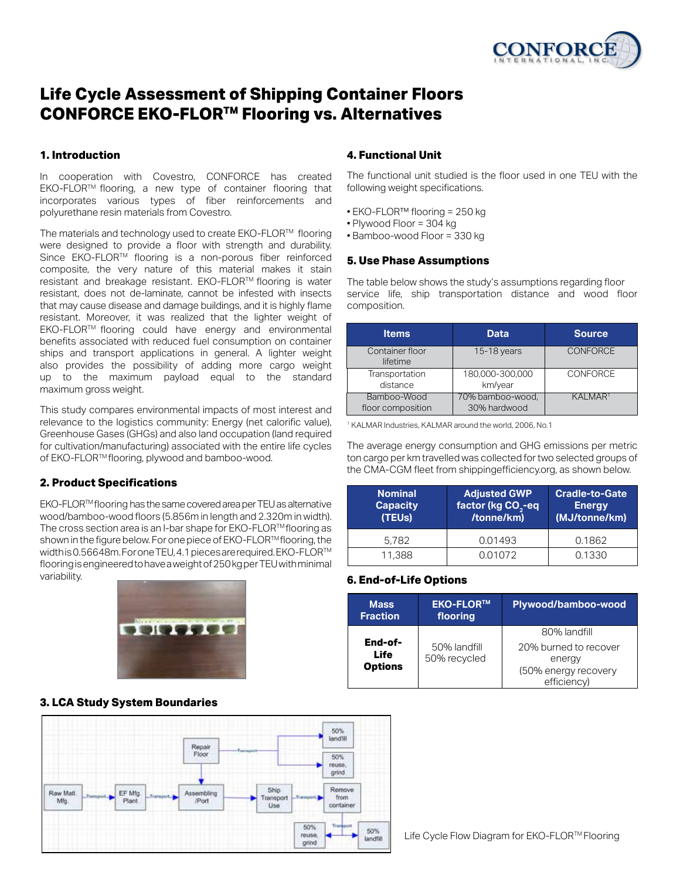

### **Life Cycle Assessment of Shipping Container Floors The ∪yer Hecoemander ompping container the very nature of the very nature of the very nature of the very nature o** ONFORCE EKO-FLOR™ Flooring vs. Alternat

## **1.** Introduction **disease and damage buildings, and it is highly flame and it is highly flame and it is highly flame and it is highly flame and it is highly flame and it is highly flame and it is highly flame and it is hi**

In cooperation with Covestro, CONFORCE has created EKO-FLORTM flooring, a new type of container flooring that **ENO-FLOR** informing, a new type of container hooring that collowing weight incorporates various types of fiber reinforcements and noorperates and transport applies of these remersements and  $\bullet$  EKO-FLOR **(White Paper)** resistant. Moreover, it was realized that the lighter weight of the lighter weight of the lighter weight of the lighter weight of the light of the light of the light of the light of the light of the light of the light of t  $\frac{1}{2}$  cooperation with Covestro, CONFORCE has created The functions

The materials and technology used to create  $\mathsf{E}\mathsf{KO}\text{-}\mathsf{FLOR}^{\mathsf{TM}}$  flooring me materials and technology used to create ENO-PLOR<sup>-11</sup> hooring • Bamboo-<br>were designed to provide a floor with strength and durability. The standard complete and maximum standard maximum standard maximum gross weight. composite, the very nature of this material makes it stain The table below the set of the set of the set of the set of the set of the set of the set of the set of the set of the set of the set of the set of the set of the set of the set of the set of the set of the set of the set resistant, does not de-laminate, cannot be infested with insects resistant, does not de-laminate, cannot be imested with insects service.<br>that may cause disease and damage buildings, and it is highly flame comp matrina) cause also and almage sullamige, and the highly halled con- $E$ KO-FLOR<sup>TM</sup> flooring could have energy and environmental benefits associated with reduced fuel consumption on container benefits associated with reduced fuel consumption on container<br>ships and transport applications in general. A lighter weight also provides the possibility of adding more cargo weight up to the maximum payload equal to the standard maximum gross weight. created EKO-FLOR**TM**, a new type of container flooring that  $m$ ateriais and technology used to create EK) as and transport applications in general. A lighter that we have a ship of a ships on containing the ships of a<br>worked function of adding more corrected to a ship of a ships of a ships of a ships of a ships of a ships of a provides the possibility of adding more cargo weight to be

This study compares environmental impacts of most interest and relevance to the logistics community: Energy (net calorific value), in relation Greenhouse Gases (GHGs) and also land occupation (land required discrimedae dates (childs) and also land occupation (land required<br>for cultivation/manufacturing) associated with the entire life cycles for cultivation milanulactumly associated with the entire life cycles are averaged of EKO-FLOR™ flooring, plywood and bamboo-wood. The average price area is an I-bar shape to the cargo p arrequired for cultivation in cultivation with the entire relation.<br>Contractor with the cultivation of the cultivation of the cultivation of the cultivation of the cultivation of for ECORT mooning, prywood and bamboo-wood. For one and the CM<br>the CM

#### **2. Product Specifications 2. Product Specifications**

**1 Momir**<br>EKO-FLOR™flooring has the same covered area per TEU as alternative **Bullet Capac** EKO-FLORTM hooning has the same covered area per TEO as alternative wood/bamboo-wood floors (5.856m in length and 2.320m in width). The cross section area is an l-bar shape for EKO-FLOR™ flooring as the cross section area is an I-bar shape for EKO-FLOR™ hooring as shown in the figure below. For one piece of EKO-FLOR™ flooring, the width is 0.56648m. For one TEU, 4.1 pieces are required. EKO-FLOR  $M$ flooring is engineered to have a weight of 250 kg per TEU with minimal variability.<br>Letter of 250 kg per Teu with minimal variability.



# **3. LCA Study System Boundaries 3. LCA Study System Boundaries 3. LCA Study System Boundaries**



# **EKO-FLORTM vs. Alternatives 4. Functional Unit**

The functional unit studied is the floor used in one TEU with the following weight specifications.

- EKO-FLOR™ flooring = 250 kg
- Plywood Floor = 304 kg
- Bamboo-wood Floor = 330 kg

#### **5. Use Phase Assumptions**

The table below shows the study's assumptions regarding floor composition. The table below shows the study s assumptions regarding floor<br>service life, ship transportation distance and wood floor

| <b>Items</b>                     | Data                             | <b>Source</b>       |
|----------------------------------|----------------------------------|---------------------|
| Container floor<br>lifetime      | 15-18 years                      | <b>CONFORCE</b>     |
| Transportation<br>distance       | 180,000-300,000<br>km/year       | CONFORCE            |
| Bamboo-Wood<br>floor composition | 70% bamboo-wood.<br>30% hardwood | KALMAR <sup>1</sup> |

<sup>1</sup> KALMAR Industries, KALMAR around the world, 2006, No.1  $ld$ , 2006, No.1

The average energy consumption and GHG emissions per metric ton cargo per km travelled was collected for two selected groups of the CMA-CGM fleet from shippingefficiency.org, as shown below.  $P = U \cup W$ 

| <b>Nominal</b><br><b>Capacity</b><br>(TEUs) | <b>Adjusted GWP</b><br>factor (kg CO <sub>2</sub> -eq<br>/tonne/km) | <b>Cradle-to-Gate</b><br><b>Energy</b><br>(MJ/tonne/km) |
|---------------------------------------------|---------------------------------------------------------------------|---------------------------------------------------------|
| 5.782                                       | 0.01493                                                             | 0.1862                                                  |
| 11,388                                      | 0.01072                                                             | 0.1330                                                  |

#### The information of average energy consumption and GHG **6. End-of-Life Options**

| <b>Mass</b><br><b>Fraction</b>    | <b>EKO-FLOR™</b><br>flooring | Plywood/bamboo-wood                                                    |
|-----------------------------------|------------------------------|------------------------------------------------------------------------|
|                                   |                              | 80% landfill                                                           |
| End-of-<br>Life<br><b>Options</b> | 50% landfill<br>50% recycled | 20% burned to recover<br>energy<br>(50% energy recovery<br>efficiency) |